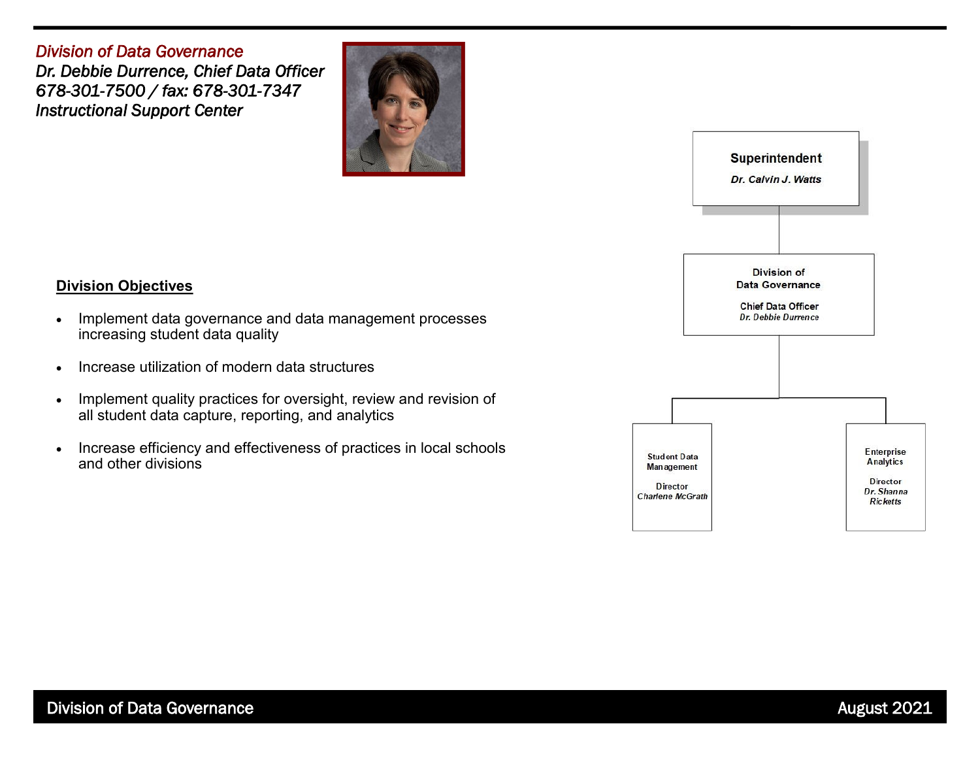*Division of Data Governance Dr. Debbie Durrence, Chief Data Officer 678-301-7500 / fax: 678-301-7347 Instructional Support Center* 



## **Division Objectives**

- Implement data governance and data management processes increasing student data quality
- Increase utilization of modern data structures
- Implement quality practices for oversight, review and revision of all student data capture, reporting, and analytics
- Increase efficiency and effectiveness of practices in local schools and other divisions